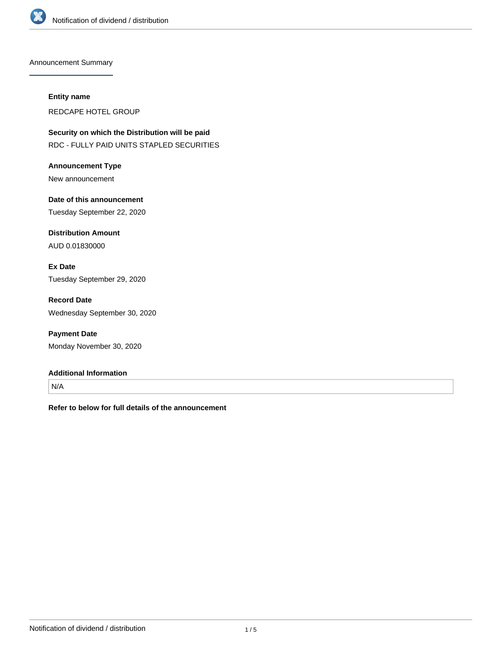

Announcement Summary

#### **Entity name**

REDCAPE HOTEL GROUP

**Security on which the Distribution will be paid** RDC - FULLY PAID UNITS STAPLED SECURITIES

**Announcement Type** New announcement

**Date of this announcement** Tuesday September 22, 2020

**Distribution Amount** AUD 0.01830000

**Ex Date** Tuesday September 29, 2020

**Record Date** Wednesday September 30, 2020

**Payment Date** Monday November 30, 2020

### **Additional Information**

N/A

**Refer to below for full details of the announcement**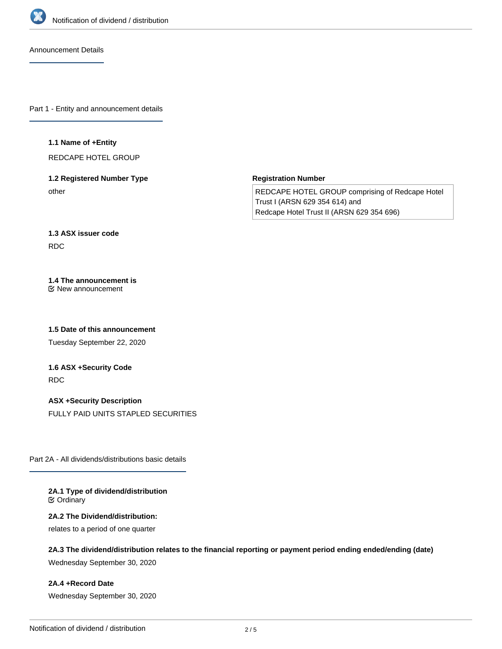

Announcement Details

Part 1 - Entity and announcement details

### **1.1 Name of +Entity**

REDCAPE HOTEL GROUP

# **1.2 Registered Number Type** other

**Registration Number**

REDCAPE HOTEL GROUP comprising of Redcape Hotel Trust I (ARSN 629 354 614) and Redcape Hotel Trust II (ARSN 629 354 696)

# **1.3 ASX issuer code** RDC

#### **1.4 The announcement is** New announcement

**1.5 Date of this announcement**

Tuesday September 22, 2020

# **1.6 ASX +Security Code** RDC

**ASX +Security Description** FULLY PAID UNITS STAPLED SECURITIES

Part 2A - All dividends/distributions basic details

#### **2A.1 Type of dividend/distribution C** Ordinary

### **2A.2 The Dividend/distribution:**

relates to a period of one quarter

# **2A.3 The dividend/distribution relates to the financial reporting or payment period ending ended/ending (date)**

Wednesday September 30, 2020

## **2A.4 +Record Date**

Wednesday September 30, 2020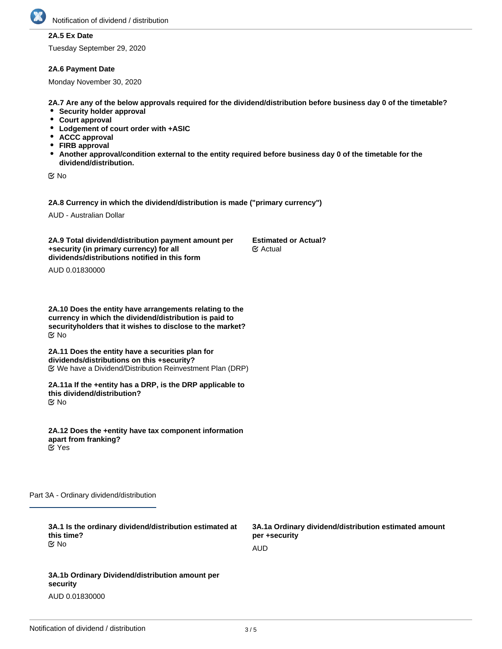# **2A.5 Ex Date**

Tuesday September 29, 2020

#### **2A.6 Payment Date**

Monday November 30, 2020

**2A.7 Are any of the below approvals required for the dividend/distribution before business day 0 of the timetable?**

- **•** Security holder approval
- **Court approval**
- **Lodgement of court order with +ASIC**
- **ACCC approval**
- **FIRB approval**
- **Another approval/condition external to the entity required before business day 0 of the timetable for the dividend/distribution.**

No

**2A.8 Currency in which the dividend/distribution is made ("primary currency")**

AUD - Australian Dollar

**2A.9 Total dividend/distribution payment amount per +security (in primary currency) for all dividends/distributions notified in this form Estimated or Actual?** Actual

AUD 0.01830000

**2A.10 Does the entity have arrangements relating to the currency in which the dividend/distribution is paid to securityholders that it wishes to disclose to the market?** No

**2A.11 Does the entity have a securities plan for dividends/distributions on this +security?** We have a Dividend/Distribution Reinvestment Plan (DRP)

**2A.11a If the +entity has a DRP, is the DRP applicable to this dividend/distribution?** No

**2A.12 Does the +entity have tax component information apart from franking?** Yes

Part 3A - Ordinary dividend/distribution

| 3A.1 Is the ordinary dividend/distribution estimated at<br>this time? | 3A.1a Ordinary dividend/distribution estimated amount<br>per +security |  |
|-----------------------------------------------------------------------|------------------------------------------------------------------------|--|
| tiX No                                                                | AUD                                                                    |  |
|                                                                       |                                                                        |  |
| 3A.1b Ordinary Dividend/distribution amount per<br>security           |                                                                        |  |

AUD 0.01830000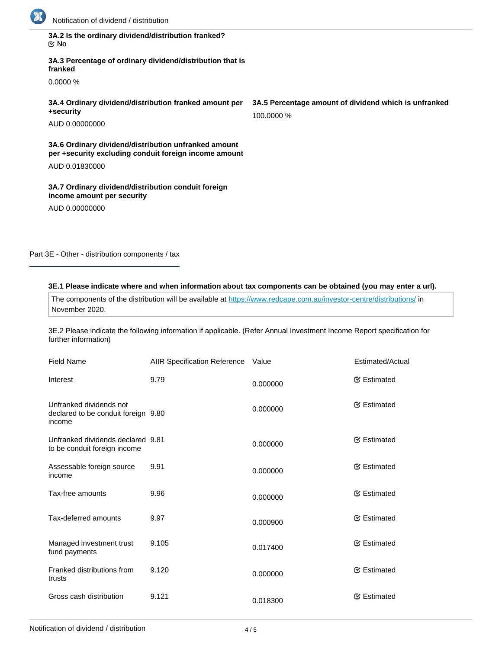

| 3A.2 Is the ordinary dividend/distribution franked? |  |
|-----------------------------------------------------|--|
| ା ⊠                                                 |  |

**3A.3 Percentage of ordinary dividend/distribution that is franked**

0.0000 %

**3A.4 Ordinary dividend/distribution franked amount per +security**

AUD 0.00000000

**3A.6 Ordinary dividend/distribution unfranked amount per +security excluding conduit foreign income amount**

AUD 0.01830000

**3A.7 Ordinary dividend/distribution conduit foreign income amount per security**

AUD 0.00000000

Part 3E - Other - distribution components / tax

### **3E.1 Please indicate where and when information about tax components can be obtained (you may enter a url).**

The components of the distribution will be available at <https://www.redcape.com.au/investor-centre/distributions/>in November 2020.

3E.2 Please indicate the following information if applicable. (Refer Annual Investment Income Report specification for further information)

| <b>Field Name</b>                                                        | AIIR Specification Reference Value |          | Estimated/Actual    |
|--------------------------------------------------------------------------|------------------------------------|----------|---------------------|
| Interest                                                                 | 9.79                               | 0.000000 | <b></b> ∉ Estimated |
| Unfranked dividends not<br>declared to be conduit foreign 9.80<br>income |                                    | 0.000000 | <b></b> ∉ Estimated |
| Unfranked dividends declared 9.81<br>to be conduit foreign income        |                                    | 0.000000 | <b></b> ∉ Estimated |
| Assessable foreign source<br>income                                      | 9.91                               | 0.000000 | <b></b> ∉ Estimated |
| Tax-free amounts                                                         | 9.96                               | 0.000000 | <b></b> ∉ Estimated |
| Tax-deferred amounts                                                     | 9.97                               | 0.000900 | <b></b> ∉ Estimated |
| Managed investment trust<br>fund payments                                | 9.105                              | 0.017400 | <b></b> ∉ Estimated |
| Franked distributions from<br>trusts                                     | 9.120                              | 0.000000 | <b></b> ∉ Estimated |
| Gross cash distribution                                                  | 9.121                              | 0.018300 | <b></b> ∉ Estimated |

**3A.5 Percentage amount of dividend which is unfranked** 100.0000 %